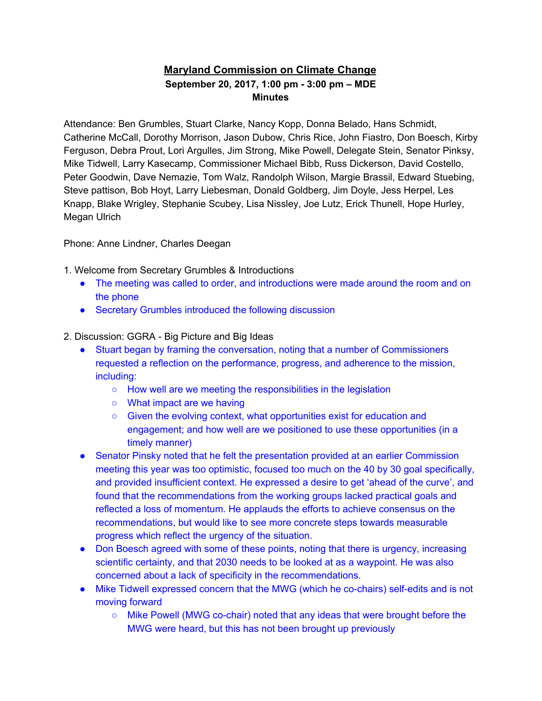## **Maryland Commission on Climate Change September 20, 2017, 1:00 pm - 3:00 pm – MDE Minutes**

Attendance: Ben Grumbles, Stuart Clarke, Nancy Kopp, Donna Belado, Hans Schmidt, Catherine McCall, Dorothy Morrison, Jason Dubow, Chris Rice, John Fiastro, Don Boesch, Kirby Ferguson, Debra Prout, Lori Argulles, Jim Strong, Mike Powell, Delegate Stein, Senator Pinksy, Mike Tidwell, Larry Kasecamp, Commissioner Michael Bibb, Russ Dickerson, David Costello, Peter Goodwin, Dave Nemazie, Tom Walz, Randolph Wilson, Margie Brassil, Edward Stuebing, Steve pattison, Bob Hoyt, Larry Liebesman, Donald Goldberg, Jim Doyle, Jess Herpel, Les Knapp, Blake Wrigley, Stephanie Scubey, Lisa Nissley, Joe Lutz, Erick Thunell, Hope Hurley, Megan Ulrich

Phone: Anne Lindner, Charles Deegan

1. Welcome from Secretary Grumbles & Introductions

- The meeting was called to order, and introductions were made around the room and on the phone
- Secretary Grumbles introduced the following discussion
- 2. Discussion: GGRA Big Picture and Big Ideas
	- Stuart began by framing the conversation, noting that a number of Commissioners requested a reflection on the performance, progress, and adherence to the mission, including:
		- How well are we meeting the responsibilities in the legislation
		- What impact are we having
		- Given the evolving context, what opportunities exist for education and engagement; and how well are we positioned to use these opportunities (in a timely manner)
	- Senator Pinsky noted that he felt the presentation provided at an earlier Commission meeting this year was too optimistic, focused too much on the 40 by 30 goal specifically, and provided insufficient context. He expressed a desire to get 'ahead of the curve', and found that the recommendations from the working groups lacked practical goals and reflected a loss of momentum. He applauds the efforts to achieve consensus on the recommendations, but would like to see more concrete steps towards measurable progress which reflect the urgency of the situation.
	- Don Boesch agreed with some of these points, noting that there is urgency, increasing scientific certainty, and that 2030 needs to be looked at as a waypoint. He was also concerned about a lack of specificity in the recommendations.
	- Mike Tidwell expressed concern that the MWG (which he co-chairs) self-edits and is not moving forward
		- Mike Powell (MWG co-chair) noted that any ideas that were brought before the MWG were heard, but this has not been brought up previously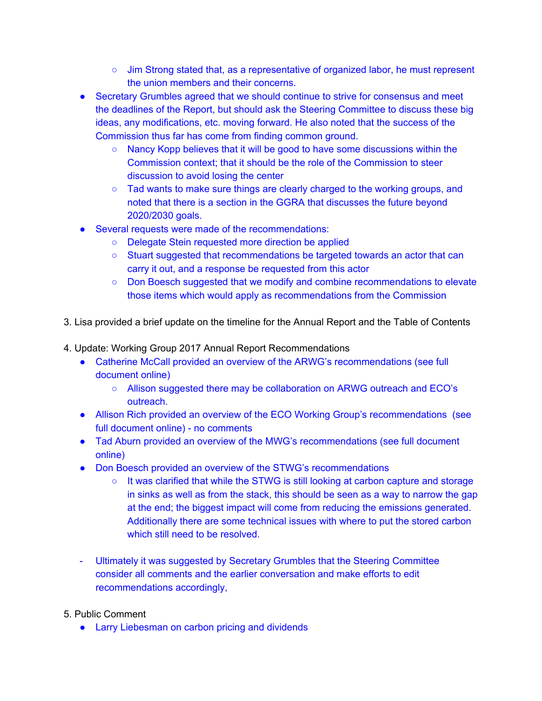- $\circ$  Jim Strong stated that, as a representative of organized labor, he must represent the union members and their concerns.
- Secretary Grumbles agreed that we should continue to strive for consensus and meet the deadlines of the Report, but should ask the Steering Committee to discuss these big ideas, any modifications, etc. moving forward. He also noted that the success of the Commission thus far has come from finding common ground.
	- Nancy Kopp believes that it will be good to have some discussions within the Commission context; that it should be the role of the Commission to steer discussion to avoid losing the center
	- Tad wants to make sure things are clearly charged to the working groups, and noted that there is a section in the GGRA that discusses the future beyond 2020/2030 goals.
- Several requests were made of the recommendations:
	- Delegate Stein requested more direction be applied
	- Stuart suggested that recommendations be targeted towards an actor that can carry it out, and a response be requested from this actor
	- Don Boesch suggested that we modify and combine recommendations to elevate those items which would apply as recommendations from the Commission
- 3. Lisa provided a brief update on the timeline for the Annual Report and the Table of Contents
- 4. Update: Working Group 2017 Annual Report Recommendations
	- Catherine McCall provided an overview of the ARWG's recommendations (see full document online)
		- Allison suggested there may be collaboration on ARWG outreach and ECO's outreach.
	- Allison Rich provided an overview of the ECO Working Group's recommendations (see full document online) - no comments
	- Tad Aburn provided an overview of the MWG's recommendations (see full document online)
	- Don Boesch provided an overview of the STWG's recommendations
		- $\circ$  It was clarified that while the STWG is still looking at carbon capture and storage in sinks as well as from the stack, this should be seen as a way to narrow the gap at the end; the biggest impact will come from reducing the emissions generated. Additionally there are some technical issues with where to put the stored carbon which still need to be resolved.
	- Ultimately it was suggested by Secretary Grumbles that the Steering Committee consider all comments and the earlier conversation and make efforts to edit recommendations accordingly,
- 5. Public Comment
	- Larry Liebesman on carbon pricing and dividends